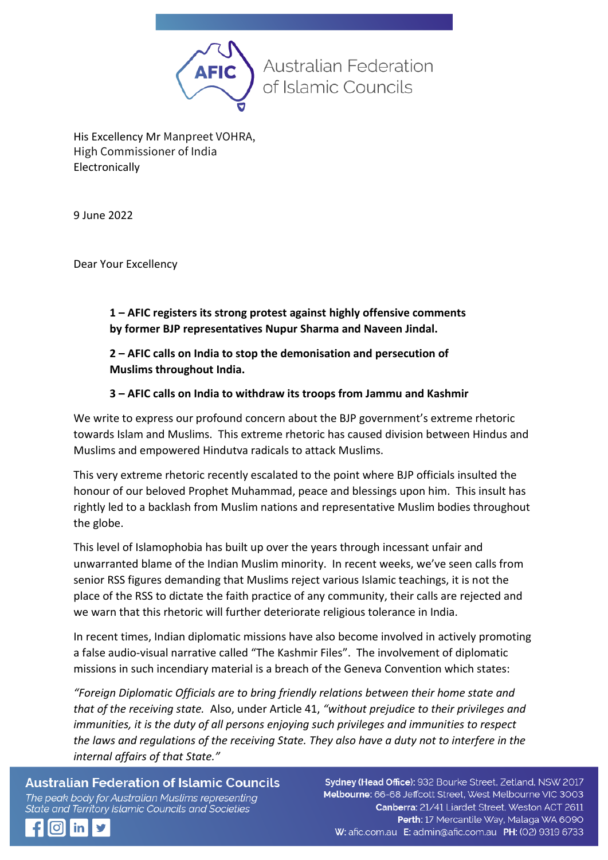

His Excellency Mr Manpreet VOHRA, High Commissioner of India Electronically

9 June 2022

Dear Your Excellency

**1 – AFIC registers its strong protest against highly offensive comments by former BJP representatives Nupur Sharma and Naveen Jindal.**

**2 – AFIC calls on India to stop the demonisation and persecution of Muslims throughout India.**

## **3 – AFIC calls on India to withdraw its troops from Jammu and Kashmir**

We write to express our profound concern about the BJP government's extreme rhetoric towards Islam and Muslims. This extreme rhetoric has caused division between Hindus and Muslims and empowered Hindutva radicals to attack Muslims.

This very extreme rhetoric recently escalated to the point where BJP officials insulted the honour of our beloved Prophet Muhammad, peace and blessings upon him. This insult has rightly led to a backlash from Muslim nations and representative Muslim bodies throughout the globe.

This level of Islamophobia has built up over the years through incessant unfair and unwarranted blame of the Indian Muslim minority. In recent weeks, we've seen calls from senior RSS figures demanding that Muslims reject various Islamic teachings, it is not the place of the RSS to dictate the faith practice of any community, their calls are rejected and we warn that this rhetoric will further deteriorate religious tolerance in India.

In recent times, Indian diplomatic missions have also become involved in actively promoting a false audio-visual narrative called "The Kashmir Files". The involvement of diplomatic missions in such incendiary material is a breach of the Geneva Convention which states:

*"Foreign Diplomatic Officials are to bring friendly relations between their home state and that of the receiving state.* Also, under Article 41, *"without prejudice to their privileges and immunities, it is the duty of all persons enjoying such privileges and immunities to respect the laws and regulations of the receiving State. They also have a duty not to interfere in the internal affairs of that State."*

**Australian Federation of Islamic Councils** The peak body for Australian Muslims representing State and Territory Islamic Councils and Societies

Sydney (Head Office): 932 Bourke Street, Zetland, NSW 2017 Melbourne: 66-68 Jeffcott Street, West Melbourne VIC 3003 Canberra: 21/41 Liardet Street, Weston ACT 2611 Perth: 17 Mercantile Way, Malaga WA 6090 W: afic.com.au E: admin@afic.com.au PH: (02) 9319 6733